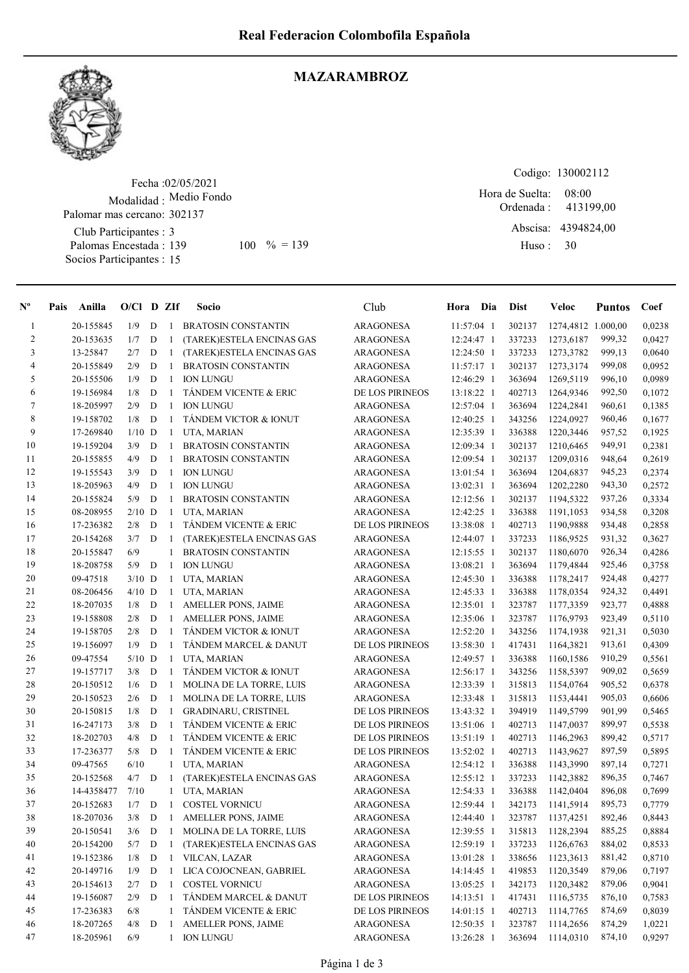

## MAZARAMBROZ

Fecha : 02/05/2021 Modalidad : Medio Fondo Club Participantes : 3 Palomas Encestada : 139 Socios Participantes : 15 Palomar mas cercano: 302137 139 100 % = 139 Huso: 30

Codigo: 130002112 Ordenada : Abscisa: 4394824,00 Huso : 08:00 Hora de Suelta: 413199,00

| $N^{\circ}$    | Pais | Anilla     | $O/Cl$ D ZIf |             |              | Socio                            | Club                   | Hora Dia     | <b>Dist</b> | Veloc              | <b>Puntos</b> | Coef   |
|----------------|------|------------|--------------|-------------|--------------|----------------------------------|------------------------|--------------|-------------|--------------------|---------------|--------|
| $\mathbf{1}$   |      | 20-155845  | 1/9          | D           | $\mathbf{1}$ | <b>BRATOSIN CONSTANTIN</b>       | <b>ARAGONESA</b>       | 11:57:04 1   | 302137      | 1274,4812 1.000,00 |               | 0,0238 |
| $\overline{c}$ |      | 20-153635  | 1/7          | D           | 1            | (TAREK)ESTELA ENCINAS GAS        | <b>ARAGONESA</b>       | 12:24:47 1   | 337233      | 1273,6187          | 999,32        | 0,0427 |
| 3              |      | 13-25847   | 2/7          | D           | 1            | (TAREK)ESTELA ENCINAS GAS        | <b>ARAGONESA</b>       | 12:24:50 1   | 337233      | 1273,3782          | 999,13        | 0,0640 |
| 4              |      | 20-155849  | 2/9          | D           | 1            | <b>BRATOSIN CONSTANTIN</b>       | <b>ARAGONESA</b>       | 11:57:17 1   | 302137      | 1273,3174          | 999,08        | 0,0952 |
| 5              |      | 20-155506  | 1/9          | D           | $\mathbf{1}$ | <b>ION LUNGU</b>                 | <b>ARAGONESA</b>       | 12:46:29 1   | 363694      | 1269,5119          | 996,10        | 0,0989 |
| 6              |      | 19-156984  | 1/8          | D           | 1            | TÁNDEM VICENTE & ERIC            | DE LOS PIRINEOS        | 13:18:22 1   | 402713      | 1264,9346          | 992,50        | 0,1072 |
| $\tau$         |      | 18-205997  | 2/9          | D           | $\mathbf{1}$ | <b>ION LUNGU</b>                 | <b>ARAGONESA</b>       | 12:57:04 1   | 363694      | 1224,2841          | 960,61        | 0,1385 |
| 8              |      | 19-158702  | 1/8          | D           | $\mathbf{1}$ | TÁNDEM VICTOR & IONUT            | <b>ARAGONESA</b>       | 12:40:25 1   | 343256      | 1224,0927          | 960,46        | 0,1677 |
| 9              |      | 17-269840  | $1/10$ D     |             | 1            | UTA, MARIAN                      | <b>ARAGONESA</b>       | 12:35:39 1   | 336388      | 1220,3446          | 957,52        | 0,1925 |
| 10             |      | 19-159204  | 3/9          | D           | 1            | <b>BRATOSIN CONSTANTIN</b>       | ARAGONESA              | 12:09:34 1   | 302137      | 1210,6465          | 949,91        | 0,2381 |
| 11             |      | 20-155855  | 4/9          | D           | $\mathbf{1}$ | <b>BRATOSIN CONSTANTIN</b>       | <b>ARAGONESA</b>       | 12:09:54 1   | 302137      | 1209,0316          | 948,64        | 0,2619 |
| 12             |      | 19-155543  | 3/9          | D           | 1            | <b>ION LUNGU</b>                 | <b>ARAGONESA</b>       | 13:01:54 1   | 363694      | 1204,6837          | 945,23        | 0,2374 |
| 13             |      | 18-205963  | 4/9          | D           | $\mathbf{1}$ | <b>ION LUNGU</b>                 | <b>ARAGONESA</b>       | 13:02:31 1   | 363694      | 1202,2280          | 943,30        | 0,2572 |
| 14             |      | 20-155824  | 5/9          | D           | $\mathbf{1}$ | <b>BRATOSIN CONSTANTIN</b>       | ARAGONESA              | 12:12:56 1   | 302137      | 1194,5322          | 937,26        | 0,3334 |
| 15             |      | 08-208955  | $2/10$ D     |             | 1            | UTA, MARIAN                      | <b>ARAGONESA</b>       | 12:42:25 1   | 336388      | 1191,1053          | 934,58        | 0,3208 |
| 16             |      | 17-236382  | 2/8          | D           | 1            | TÁNDEM VICENTE & ERIC            | <b>DE LOS PIRINEOS</b> | 13:38:08 1   | 402713      | 1190,9888          | 934,48        | 0,2858 |
| 17             |      | 20-154268  | 3/7          | D           | 1            | (TAREK)ESTELA ENCINAS GAS        | <b>ARAGONESA</b>       | 12:44:07 1   | 337233      | 1186,9525          | 931,32        | 0,3627 |
| 18             |      | 20-155847  | 6/9          |             | 1            | <b>BRATOSIN CONSTANTIN</b>       | <b>ARAGONESA</b>       | 12:15:55 1   | 302137      | 1180,6070          | 926,34        | 0,4286 |
| 19             |      | 18-208758  | 5/9          | D           | 1            | <b>ION LUNGU</b>                 | <b>ARAGONESA</b>       | 13:08:21 1   | 363694      | 1179,4844          | 925,46        | 0,3758 |
| 20             |      | 09-47518   | $3/10$ D     |             | $\mathbf{1}$ | UTA, MARIAN                      | <b>ARAGONESA</b>       | 12:45:30 1   | 336388      | 1178,2417          | 924,48        | 0,4277 |
| 21             |      | 08-206456  | $4/10$ D     |             | $\mathbf{1}$ | UTA, MARIAN                      | <b>ARAGONESA</b>       | 12:45:33 1   | 336388      | 1178,0354          | 924,32        | 0,4491 |
| 22             |      | 18-207035  | 1/8          | D           | $\mathbf{1}$ | AMELLER PONS, JAIME              | ARAGONESA              | 12:35:01 1   | 323787      | 1177,3359          | 923,77        | 0,4888 |
| 23             |      | 19-158808  | 2/8          | D           | $\mathbf{1}$ | AMELLER PONS, JAIME              | <b>ARAGONESA</b>       | 12:35:06 1   | 323787      | 1176,9793          | 923,49        | 0,5110 |
| 24             |      | 19-158705  | 2/8          | D           | $\mathbf{1}$ | TÁNDEM VICTOR & IONUT            | <b>ARAGONESA</b>       | 12:52:20 1   | 343256      | 1174,1938          | 921,31        | 0,5030 |
| 25             |      | 19-156097  | 1/9          | D           | $\mathbf{1}$ | TÁNDEM MARCEL & DANUT            | DE LOS PIRINEOS        | 13:58:30 1   | 417431      | 1164,3821          | 913,61        | 0,4309 |
| 26             |      | 09-47554   | $5/10$ D     |             | $\mathbf{1}$ | UTA, MARIAN                      | <b>ARAGONESA</b>       | 12:49:57 1   | 336388      | 1160,1586          | 910,29        | 0,5561 |
| 27             |      | 19-157717  | 3/8          | D           | $\mathbf{1}$ | TÁNDEM VICTOR & IONUT            | <b>ARAGONESA</b>       | $12:56:17$ 1 | 343256      | 1158,5397          | 909,02        | 0,5659 |
| 28             |      | 20-150512  | 1/6          | D           | 1            | MOLINA DE LA TORRE, LUIS         | <b>ARAGONESA</b>       | 12:33:39 1   | 315813      | 1154,0764          | 905,52        | 0,6378 |
| 29             |      | 20-150523  | 2/6          | D           | 1            | MOLINA DE LA TORRE, LUIS         | <b>ARAGONESA</b>       | 12:33:48 1   | 315813      | 1153,4441          | 905,03        | 0,6606 |
| 30             |      | 20-150815  | 1/8          | D           | 1            | GRADINARU, CRISTINEL             | DE LOS PIRINEOS        | 13:43:32 1   | 394919      | 1149,5799          | 901,99        | 0,5465 |
| 31             |      | 16-247173  | 3/8          | D           | 1            | TÁNDEM VICENTE & ERIC            | DE LOS PIRINEOS        | 13:51:06 1   | 402713      | 1147,0037          | 899,97        | 0,5538 |
| 32             |      | 18-202703  | 4/8          | D           | $\mathbf{1}$ | TÁNDEM VICENTE & ERIC            | DE LOS PIRINEOS        | 13:51:19 1   | 402713      | 1146,2963          | 899,42        | 0,5717 |
| 33             |      | 17-236377  | 5/8          | D           | 1            | TÁNDEM VICENTE & ERIC            | DE LOS PIRINEOS        | 13:52:02 1   | 402713      | 1143,9627          | 897,59        | 0,5895 |
| 34             |      | 09-47565   | 6/10         |             | $\mathbf{1}$ | UTA, MARIAN                      | <b>ARAGONESA</b>       | 12:54:12 1   | 336388      | 1143,3990          | 897,14        | 0,7271 |
| 35             |      | 20-152568  | 4/7          | D           | 1            | (TAREK)ESTELA ENCINAS GAS        | <b>ARAGONESA</b>       | 12:55:12 1   | 337233      | 1142,3882          | 896,35        | 0,7467 |
| 36             |      | 14-4358477 | 7/10         |             | 1            | UTA, MARIAN                      | <b>ARAGONESA</b>       | 12:54:33 1   | 336388      | 1142,0404          | 896,08        | 0,7699 |
| 37             |      | 20-152683  | 1/7          | D           | 1            | <b>COSTEL VORNICU</b>            | ARAGONESA              | 12:59:44 1   | 342173      | 1141,5914          | 895,73        | 0,7779 |
| 38             |      | 18-207036  | 3/8          | D           | -1           | AMELLER PONS, JAIME              | <b>ARAGONESA</b>       | 12:44:40 1   | 323787      | 1137,4251          | 892,46        | 0,8443 |
| 39             |      | 20-150541  | 3/6          | D           | 1            | MOLINA DE LA TORRE, LUIS         | <b>ARAGONESA</b>       | 12:39:55 1   | 315813      | 1128,2394          | 885,25        | 0,8884 |
| 40             |      | 20-154200  | 5/7          | D           | 1            | (TAREK) ESTELA ENCINAS GAS       | <b>ARAGONESA</b>       | 12:59:19 1   | 337233      | 1126,6763          | 884,02        | 0,8533 |
| 41             |      | 19-152386  | 1/8          | $\mathbf D$ | $\mathbf{1}$ | VILCAN, LAZAR                    | <b>ARAGONESA</b>       | 13:01:28 1   | 338656      | 1123,3613          | 881,42        | 0,8710 |
| 42             |      | 20-149716  | 1/9          | $\mathbf D$ | $\mathbf{1}$ | LICA COJOCNEAN, GABRIEL          | <b>ARAGONESA</b>       | 14:14:45 1   | 419853      | 1120,3549          | 879,06        | 0,7197 |
| 43             |      | 20-154613  | 2/7          | D           | 1            | <b>COSTEL VORNICU</b>            | <b>ARAGONESA</b>       | 13:05:25 1   | 342173      | 1120,3482          | 879,06        | 0,9041 |
| 44             |      | 19-156087  | 2/9          | D           | 1            | TÁNDEM MARCEL & DANUT            | DE LOS PIRINEOS        | 14:13:51 1   | 417431      | 1116,5735          | 876,10        | 0,7583 |
| 45             |      | 17-236383  | 6/8          |             | 1            | <b>TÁNDEM VICENTE &amp; ERIC</b> | DE LOS PIRINEOS        | 14:01:15 1   | 402713      | 1114,7765          | 874,69        | 0,8039 |
| 46             |      | 18-207265  | 4/8          | D           | 1            | AMELLER PONS, JAIME              | <b>ARAGONESA</b>       | 12:50:35 1   | 323787      | 1114,2656          | 874,29        | 1,0221 |
| 47             |      | 18-205961  | 6/9          |             | 1            | <b>ION LUNGU</b>                 | <b>ARAGONESA</b>       | 13:26:28 1   | 363694      | 1114,0310          | 874,10        | 0,9297 |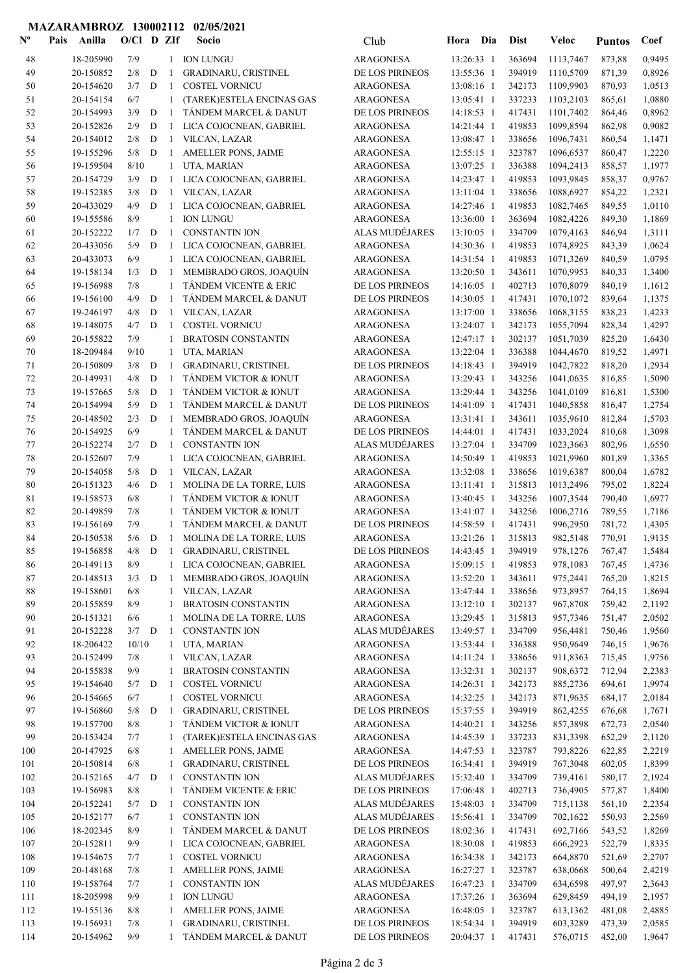## MAZARAMBROZ 130002112 02/05/2021

| $\mathbf{N}^{\mathbf{o}}$ | Anilla<br>Pais         | $O/C1$ D ZIf |             |                              | Socio                                            | Club                                 | Hora                     | Dia | <b>Dist</b>      | Veloc                  | <b>Puntos</b>    | Coef             |
|---------------------------|------------------------|--------------|-------------|------------------------------|--------------------------------------------------|--------------------------------------|--------------------------|-----|------------------|------------------------|------------------|------------------|
| 48                        | 18-205990              | 7/9          |             | $\mathbf{1}$                 | <b>ION LUNGU</b>                                 | <b>ARAGONESA</b>                     | 13:26:33 1               |     | 363694           | 1113,7467              | 873,88           | 0,9495           |
| 49                        | 20-150852              | 2/8          | $\mathbf D$ | 1                            | GRADINARU, CRISTINEL                             | DE LOS PIRINEOS                      | 13:55:36 1               |     | 394919           | 1110,5709              | 871,39           | 0,8926           |
| 50                        | 20-154620              | 3/7          | $\mathbf D$ | $\mathbf{1}$                 | <b>COSTEL VORNICU</b>                            | <b>ARAGONESA</b>                     | 13:08:16 1               |     | 342173           | 1109,9903              | 870,93           | 1,0513           |
| 51                        | 20-154154              | 6/7          |             | 1                            | (TAREK)ESTELA ENCINAS GAS                        | <b>ARAGONESA</b>                     | 13:05:41 1               |     | 337233           | 1103,2103              | 865,61           | 1,0880           |
| 52                        | 20-154993              | 3/9          | $\mathbf D$ | 1                            | TÁNDEM MARCEL & DANUT                            | DE LOS PIRINEOS                      | 14:18:53 1               |     | 417431           | 1101,7402              | 864,46           | 0,8962           |
| 53                        | 20-152826              | 2/9          | D           | 1                            | LICA COJOCNEAN, GABRIEL                          | ARAGONESA                            | 14:21:44 1               |     | 419853           | 1099,8594              | 862,98           | 0,9082           |
| 54                        | 20-154012              | 2/8          | D           | 1                            | VILCAN, LAZAR                                    | ARAGONESA                            | 13:08:47 1               |     | 338656           | 1096,7431              | 860,54           | 1,1471           |
| 55                        | 19-155296              | 5/8          | D           | -1                           | AMELLER PONS, JAIME                              | <b>ARAGONESA</b>                     | 12:55:15 1               |     | 323787           | 1096,6537              | 860,47           | 1,2220           |
| 56                        | 19-159504              | 8/10         |             | $\mathbf{1}$                 | UTA, MARIAN                                      | <b>ARAGONESA</b>                     | 13:07:25 1               |     | 336388           | 1094,2413              | 858,57           | 1,1977           |
| 57                        | 20-154729              | 3/9          | $\mathbf D$ | 1                            | LICA COJOCNEAN, GABRIEL                          | <b>ARAGONESA</b>                     | 14:23:47 1               |     | 419853           | 1093,9845              | 858,37           | 0,9767           |
| 58                        | 19-152385              | 3/8          | D           | $\mathbf{1}$                 | VILCAN, LAZAR                                    | <b>ARAGONESA</b>                     | 13:11:04 1               |     | 338656           | 1088,6927              | 854,22           | 1,2321           |
| 59                        | 20-433029              | 4/9          | D           | $\mathbf{1}$                 | LICA COJOCNEAN, GABRIEL                          | <b>ARAGONESA</b>                     | 14:27:46 1               |     | 419853           | 1082,7465              | 849,55           | 1,0110           |
| 60                        | 19-155586              | 8/9          | $\mathbf D$ | $\mathbf{1}$                 | <b>ION LUNGU</b>                                 | <b>ARAGONESA</b>                     | 13:36:00 1               |     | 363694<br>334709 | 1082,4226              | 849,30           | 1,1869           |
| 61<br>62                  | 20-152222<br>20-433056 | 1/7<br>5/9   | $\mathbf D$ | 1<br>1                       | <b>CONSTANTIN ION</b><br>LICA COJOCNEAN, GABRIEL | ALAS MUDÉJARES<br><b>ARAGONESA</b>   | 13:10:05 1<br>14:30:36 1 |     | 419853           | 1079,4163<br>1074,8925 | 846,94<br>843,39 | 1,3111<br>1,0624 |
| 63                        | 20-433073              | 6/9          |             | 1                            | LICA COJOCNEAN, GABRIEL                          | <b>ARAGONESA</b>                     | 14:31:54 1               |     | 419853           | 1071,3269              | 840,59           | 1,0795           |
| 64                        | 19-158134              | 1/3          | D           | 1                            | MEMBRADO GROS, JOAQUÍN                           | <b>ARAGONESA</b>                     | 13:20:50 1               |     | 343611           | 1070,9953              | 840,33           | 1,3400           |
| 65                        | 19-156988              | 7/8          |             | $\mathbf{1}$                 | <b>TÁNDEM VICENTE &amp; ERIC</b>                 | DE LOS PIRINEOS                      | 14:16:05 1               |     | 402713           | 1070,8079              | 840,19           | 1,1612           |
| 66                        | 19-156100              | 4/9          | D           | $\mathbf{1}$                 | TÁNDEM MARCEL & DANUT                            | DE LOS PIRINEOS                      | 14:30:05 1               |     | 417431           | 1070,1072              | 839,64           | 1,1375           |
| 67                        | 19-246197              | 4/8          | D           | 1                            | VILCAN, LAZAR                                    | <b>ARAGONESA</b>                     | 13:17:00 1               |     | 338656           | 1068,3155              | 838,23           | 1,4233           |
| 68                        | 19-148075              | 4/7          | D           | -1                           | <b>COSTEL VORNICU</b>                            | <b>ARAGONESA</b>                     | 13:24:07 1               |     | 342173           | 1055,7094              | 828,34           | 1,4297           |
| 69                        | 20-155822              | 7/9          |             | 1                            | <b>BRATOSIN CONSTANTIN</b>                       | <b>ARAGONESA</b>                     | 12:47:17 1               |     | 302137           | 1051,7039              | 825,20           | 1,6430           |
| 70                        | 18-209484              | 9/10         |             | $\mathbf{1}$                 | UTA, MARIAN                                      | ARAGONESA                            | 13:22:04 1               |     | 336388           | 1044,4670              | 819,52           | 1,4971           |
| 71                        | 20-150809              | 3/8          | D           | $\mathbf{1}$                 | GRADINARU, CRISTINEL                             | DE LOS PIRINEOS                      | 14:18:43 1               |     | 394919           | 1042,7822              | 818,20           | 1,2934           |
| 72                        | 20-149931              | 4/8          | D           | $\mathbf{1}$                 | TÁNDEM VICTOR & IONUT                            | <b>ARAGONESA</b>                     | 13:29:43 1               |     | 343256           | 1041,0635              | 816,85           | 1,5090           |
| 73                        | 19-157665              | 5/8          | $\mathbf D$ | $\mathbf{1}$                 | TÁNDEM VICTOR & IONUT                            | <b>ARAGONESA</b>                     | 13:29:44 1               |     | 343256           | 1041,0109              | 816,81           | 1,5300           |
| 74                        | 20-154994              | 5/9          | $\mathbf D$ | $\mathbf{1}$                 | TÁNDEM MARCEL & DANUT                            | DE LOS PIRINEOS                      | 14:41:09 1               |     | 417431           | 1040,5858              | 816,47           | 1,2754           |
| 75                        | 20-148502              | 2/3          | $\mathbf D$ | 1                            | MEMBRADO GROS, JOAQUÍN                           | <b>ARAGONESA</b>                     | 13:31:41 1               |     | 343611           | 1035,9610              | 812,84           | 1,5703           |
| 76                        | 20-154925              | 6/9          |             | $\mathbf{1}$                 | TÁNDEM MARCEL & DANUT                            | DE LOS PIRINEOS                      | 14:44:01 1               |     | 417431           | 1033,2024              | 810,68           | 1,3098           |
| $77\,$                    | 20-152274              | 2/7          | D           | -1                           | <b>CONSTANTIN ION</b>                            | ALAS MUDÉJARES                       | 13:27:04 1               |     | 334709           | 1023,3663              | 802,96           | 1,6550           |
| $78\,$                    | 20-152607              | 7/9          |             | $\mathbf{1}$                 | LICA COJOCNEAN, GABRIEL                          | <b>ARAGONESA</b>                     | 14:50:49 1               |     | 419853           | 1021,9960              | 801,89           | 1,3365           |
| 79                        | 20-154058              | 5/8          | D           | 1                            | VILCAN, LAZAR                                    | <b>ARAGONESA</b>                     | 13:32:08 1               |     | 338656           | 1019,6387              | 800,04           | 1,6782           |
| 80                        | 20-151323              | 4/6          | D           | $\mathbf{1}$                 | MOLINA DE LA TORRE, LUIS                         | <b>ARAGONESA</b>                     | 13:11:41 1               |     | 315813           | 1013,2496              | 795,02           | 1,8224           |
| 81                        | 19-158573              | 6/8          |             | $\mathbf{1}$<br>$\mathbf{1}$ | TÁNDEM VICTOR & IONUT                            | <b>ARAGONESA</b>                     | 13:40:45 1               |     | 343256           | 1007,3544              | 790,40           | 1,6977           |
| 82<br>83                  | 20-149859<br>19-156169 | 7/8<br>7/9   |             | $\mathbf{1}$                 | TÁNDEM VICTOR & IONUT<br>TÁNDEM MARCEL & DANUT   | <b>ARAGONESA</b><br>DE LOS PIRINEOS  | 13:41:07 1<br>14:58:59 1 |     | 343256<br>417431 | 1006,2716<br>996,2950  | 789,55<br>781,72 | 1,7186<br>1,4305 |
| 84                        | 20-150538              | 5/6          | D           | -1                           | MOLINA DE LA TORRE, LUIS                         | <b>ARAGONESA</b>                     | 13:21:26 1               |     | 315813           | 982,5148               | 770,91           | 1,9135           |
| 85                        | 19-156858              | $4/8$ D 1    |             |                              | GRADINARU, CRISTINEL                             | DE LOS PIRINEOS                      | 14:43:45 1               |     | 394919           | 978,1276               | 767,47           | 1,5484           |
| 86                        | 20-149113              | 8/9          |             | 1                            | LICA COJOCNEAN, GABRIEL                          | ARAGONESA                            | 15:09:15 1               |     | 419853           | 978,1083               | 767,45           | 1,4736           |
| 87                        | 20-148513              | 3/3          | $\mathbf D$ | 1                            | MEMBRADO GROS, JOAQUÍN                           | <b>ARAGONESA</b>                     | 13:52:20 1               |     | 343611           | 975,2441               | 765,20           | 1,8215           |
| 88                        | 19-158601              | 6/8          |             | $\mathbf{1}$                 | VILCAN, LAZAR                                    | ARAGONESA                            | 13:47:44 1               |     | 338656           | 973,8957               | 764,15           | 1,8694           |
| 89                        | 20-155859              | 8/9          |             | 1                            | <b>BRATOSIN CONSTANTIN</b>                       | <b>ARAGONESA</b>                     | 13:12:10 1               |     | 302137           | 967,8708               | 759,42           | 2,1192           |
| 90                        | 20-151321              | 6/6          |             | 1                            | MOLINA DE LA TORRE, LUIS                         | <b>ARAGONESA</b>                     | 13:29:45 1               |     | 315813           | 957,7346               | 751,47           | 2,0502           |
| 91                        | 20-152228              | $3/7$ D      |             | -1                           | <b>CONSTANTIN ION</b>                            | <b>ALAS MUDÉJARES</b>                | 13:49:57 1               |     | 334709           | 956,4481               | 750,46           | 1,9560           |
| 92                        | 18-206422              | 10/10        |             | $\mathbf{1}$                 | UTA, MARIAN                                      | <b>ARAGONESA</b>                     | 13:53:44 1               |     | 336388           | 950,9649               | 746,15           | 1,9676           |
| 93                        | 20-152499              | 7/8          |             | $\mathbf{1}$                 | VILCAN, LAZAR                                    | <b>ARAGONESA</b>                     | 14:11:24 1               |     | 338656           | 911,8363               | 715,45           | 1,9756           |
| 94                        | 20-155838              | 9/9          |             | 1                            | <b>BRATOSIN CONSTANTIN</b>                       | <b>ARAGONESA</b>                     | 13:32:31 1               |     | 302137           | 908,6372               | 712,94           | 2,2383           |
| 95                        | 19-154640              | 5/7          | $\mathbf D$ | 1                            | <b>COSTEL VORNICU</b>                            | ARAGONESA                            | 14:26:31 1               |     | 342173           | 885,2736               | 694,61           | 1,9974           |
| 96                        | 20-154665              | 6/7          |             | $\mathbf{1}$                 | <b>COSTEL VORNICU</b>                            | <b>ARAGONESA</b>                     | 14:32:25 1               |     | 342173           | 871,9635               | 684,17           | 2,0184           |
| 97                        | 19-156860              | 5/8          | $\mathbf D$ | 1                            | GRADINARU, CRISTINEL                             | DE LOS PIRINEOS                      | 15:37:55 1               |     | 394919           | 862,4255               | 676,68           | 1,7671           |
| 98<br>99                  | 19-157700<br>20-153424 | $8/8$<br>7/7 |             | $\mathbf{1}$                 | TÁNDEM VICTOR & IONUT                            | <b>ARAGONESA</b><br><b>ARAGONESA</b> | 14:40:21 1               |     | 343256<br>337233 | 857,3898<br>831,3398   | 672,73           | 2,0540           |
| 100                       | 20-147925              | 6/8          |             | 1<br>$\mathbf{1}$            | (TAREK)ESTELA ENCINAS GAS<br>AMELLER PONS, JAIME | <b>ARAGONESA</b>                     | 14:45:39 1<br>14:47:53 1 |     | 323787           | 793,8226               | 652,29<br>622,85 | 2,1120<br>2,2219 |
| 101                       | 20-150814              | 6/8          |             | $\mathbf{1}$                 | GRADINARU, CRISTINEL                             | DE LOS PIRINEOS                      | 16:34:41 1               |     | 394919           | 767,3048               | 602,05           | 1,8399           |
| 102                       | 20-152165              | 4/7          | D           | 1                            | <b>CONSTANTIN ION</b>                            | ALAS MUDÉJARES                       | 15:32:40 1               |     | 334709           | 739,4161               | 580,17           | 2,1924           |
| 103                       | 19-156983              | $8/8$        |             | 1                            | TÁNDEM VICENTE & ERIC                            | DE LOS PIRINEOS                      | 17:06:48 1               |     | 402713           | 736,4905               | 577,87           | 1,8400           |
| 104                       | 20-152241              | 5/7          | ${\bf D}$   | 1                            | <b>CONSTANTIN ION</b>                            | ALAS MUDÉJARES                       | 15:48:03 1               |     | 334709           | 715,1138               | 561,10           | 2,2354           |
| 105                       | 20-152177              | 6/7          |             | $\mathbf{1}$                 | <b>CONSTANTIN ION</b>                            | ALAS MUDÉJARES                       | 15:56:41 1               |     | 334709           | 702,1622               | 550,93           | 2,2569           |
| 106                       | 18-202345              | 8/9          |             |                              | TÁNDEM MARCEL & DANUT                            | DE LOS PIRINEOS                      | 18:02:36 1               |     | 417431           | 692,7166               | 543,52           | 1,8269           |
| 107                       | 20-152811              | 9/9          |             | $\mathbf{1}$                 | LICA COJOCNEAN, GABRIEL                          | <b>ARAGONESA</b>                     | 18:30:08 1               |     | 419853           | 666,2923               | 522,79           | 1,8335           |
| 108                       | 19-154675              | 7/7          |             | $\mathbf{1}$                 | <b>COSTEL VORNICU</b>                            | <b>ARAGONESA</b>                     | 16:34:38 1               |     | 342173           | 664,8870               | 521,69           | 2,2707           |
| 109                       | 20-148168              | 7/8          |             | $\mathbf{1}$                 | AMELLER PONS, JAIME                              | ARAGONESA                            | 16:27:27 1               |     | 323787           | 638,0668               | 500,64           | 2,4219           |
| 110                       | 19-158764              | 7/7          |             | 1                            | <b>CONSTANTIN ION</b>                            | ALAS MUDÉJARES                       | 16:47:23 1               |     | 334709           | 634,6598               | 497,97           | 2,3643           |
| 111                       | 18-205998              | 9/9          |             | 1                            | <b>ION LUNGU</b>                                 | <b>ARAGONESA</b>                     | 17:37:26 1               |     | 363694           | 629,8459               | 494,19           | 2,1957           |
| 112                       | 19-155136              | 8/8          |             | 1                            | AMELLER PONS, JAIME                              | <b>ARAGONESA</b>                     | 16:48:05 1               |     | 323787           | 613,1362               | 481,08           | 2,4885           |
| 113                       | 19-156931              | 7/8          |             | 1                            | GRADINARU, CRISTINEL                             | DE LOS PIRINEOS                      | 18:54:34 1               |     | 394919           | 603,3289               | 473,39           | 2,0585           |
| 114                       | 20-154962              | 9/9          |             | $\mathbf{1}$                 | TÁNDEM MARCEL & DANUT                            | DE LOS PIRINEOS                      | 20:04:37 1               |     | 417431           | 576,0715               | 452,00           | 1,9647           |